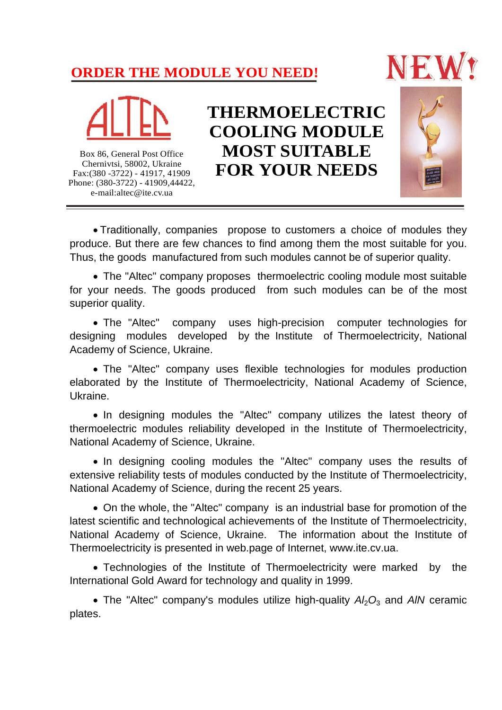## **ORDER THE MODULE YOU NEED!**





Box 86, General Post Office Chernivtsi, 58002, Ukraine Fax:(380 -3722) - 41917, 41909 Phone: (380-3722) - 41909,44422, e-mail:altec@ite.cv.ua

**THERMOELECTRIC COOLING MODULE MOST SUITABLE FOR YOUR NEEDS**



 Traditionally, companies propose to customers a choice of modules they produce. But there are few chances to find among them the most suitable for you. Thus, the goods manufactured from such modules cannot be of superior quality.

The "Altec" company proposes thermoelectric cooling module most suitable for your needs. The goods produced from such modules can be of the most superior quality.

The "Altec" company uses high-precision computer technologies for designing modules developed by the Institute of Thermoelectricity, National Academy of Science, Ukraine.

The "Altec" company uses flexible technologies for modules production elaborated by the Institute of Thermoelectricity, National Academy of Science, Ukraine.

• In designing modules the "Altec" company utilizes the latest theory of thermoelectric modules reliability developed in the Institute of Thermoelectricity, National Academy of Science, Ukraine.

• In designing cooling modules the "Altec" company uses the results of extensive reliability tests of modules conducted by the Institute of Thermoelectricity, National Academy of Science, during the recent 25 years.

On the whole, the "Altec" company is an industrial base for promotion of the latest scientific and technological achievements of the Institute of Thermoelectricity, National Academy of Science, Ukraine. The information about the Institute of Thermoelectricity is presented in web.page of Internet, www.ite.cv.ua.

Technologies of the Institute of Thermoelectricity were marked by the International Gold Award for technology and quality in 1999.

• The "Altec" company's modules utilize high-quality  $A/2_3$  and AIN ceramic plates.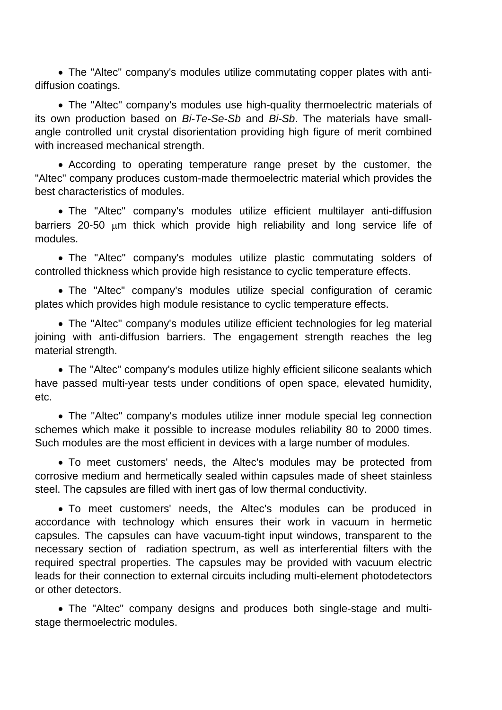The "Altec" company's modules utilize commutating copper plates with antidiffusion coatings.

The "Altec" company's modules use high-quality thermoelectric materials of its own production based on *Bi-Te-Se-Sb* and *Bi-Sb*. The materials have smallangle controlled unit crystal disorientation providing high figure of merit combined with increased mechanical strength.

According to operating temperature range preset by the customer, the "Altec" company produces custom-made thermoelectric material which provides the best characteristics of modules.

The "Altec" company's modules utilize efficient multilayer anti-diffusion barriers 20-50  $\mu$ m thick which provide high reliability and long service life of modules.

The "Altec" company's modules utilize plastic commutating solders of controlled thickness which provide high resistance to cyclic temperature effects.

The "Altec" company's modules utilize special configuration of ceramic plates which provides high module resistance to cyclic temperature effects.

The "Altec" company's modules utilize efficient technologies for leg material joining with anti-diffusion barriers. The engagement strength reaches the leg material strength.

The "Altec" company's modules utilize highly efficient silicone sealants which have passed multi-year tests under conditions of open space, elevated humidity, etc.

The "Altec" company's modules utilize inner module special leg connection schemes which make it possible to increase modules reliability 80 to 2000 times. Such modules are the most efficient in devices with a large number of modules.

To meet customers' needs, the Altec's modules may be protected from corrosive medium and hermetically sealed within capsules made of sheet stainless steel. The capsules are filled with inert gas of low thermal conductivity.

To meet customers' needs, the Altec's modules can be produced in accordance with technology which ensures their work in vacuum in hermetic capsules. The capsules can have vacuum-tight input windows, transparent to the necessary section of radiation spectrum, as well as interferential filters with the required spectral properties. The capsules may be provided with vacuum electric leads for their connection to external circuits including multi-element photodetectors or other detectors.

The "Altec" company designs and produces both single-stage and multistage thermoelectric modules.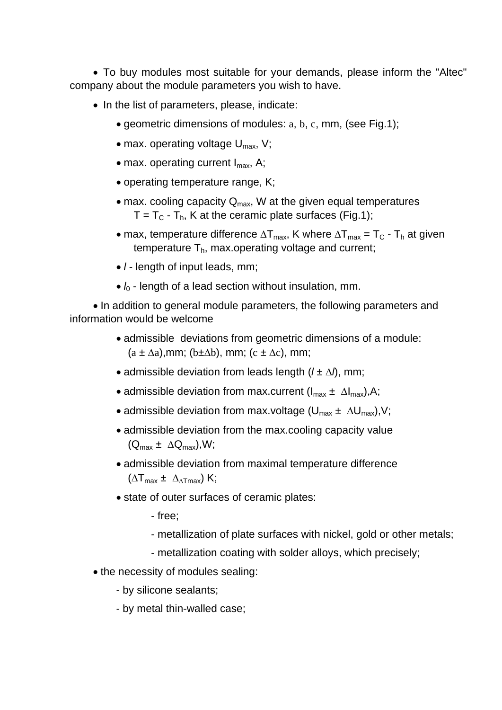To buy modules most suitable for your demands, please inform the "Altec" company about the module parameters you wish to have.

- In the list of parameters, please, indicate:
	- geometric dimensions of modules: a, b, c, mm, (see Fig.1);
	- max. operating voltage  $U_{\text{max}}$ , V;
	- $\bullet$  max. operating current  $I_{\text{max}}$ , A;
	- operating temperature range, K;
	- $\bullet$  max. cooling capacity Q<sub>max</sub>, W at the given equal temperatures  $T = T_C - T_h$ , K at the ceramic plate surfaces (Fig.1);
	- max, temperature difference  $\Delta T_{max}$ , K where  $\Delta T_{max} = T_C T_h$  at given temperature  $T<sub>h</sub>$ , max.operating voltage and current;
	- *l* length of input leads, mm;
	- $l_0$  length of a lead section without insulation, mm.

• In addition to general module parameters, the following parameters and information would be welcome

- admissible deviations from geometric dimensions of a module:  $(a \pm \Delta a)$ ,mm; (b $\pm \Delta b$ ), mm; (c  $\pm \Delta c$ ), mm;
- admissible deviation from leads length  $(l \pm \Delta)$ , mm;
- admissible deviation from max.current  $(I_{max} \pm \Delta I_{max})$ , A;
- admissible deviation from max.voltage  $(U_{\text{max}} \pm \Delta U_{\text{max}})$ , V;
- admissible deviation from the max.cooling capacity value  $(Q_{\text{max}} \pm \Delta Q_{\text{max}}),$ W;
- admissible deviation from maximal temperature difference  $(\Delta T_{max} \pm \Delta_{\Delta T max})$  K;
- state of outer surfaces of ceramic plates:
	- free;
	- metallization of plate surfaces with nickel, gold or other metals;
	- metallization coating with solder alloys, which precisely;
- the necessity of modules sealing:
	- by silicone sealants;
	- by metal thin-walled case;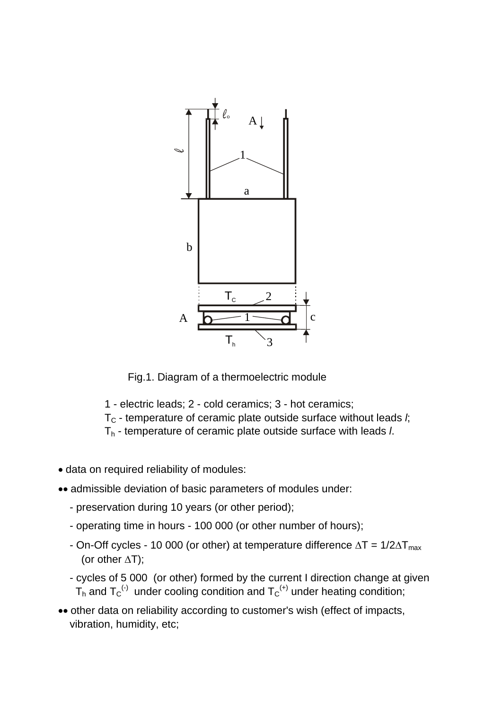

Fig.1. Diagram of a thermoelectric module

- 1 electric leads; 2 cold ceramics; 3 hot ceramics;
- T<sub>C</sub> temperature of ceramic plate outside surface without leads *l*;
- Th temperature of ceramic plate outside surface with leads *l*.
- data on required reliability of modules:
- admissible deviation of basic parameters of modules under:
	- preservation during 10 years (or other period);
	- operating time in hours 100 000 (or other number of hours);
	- On-Off cycles 10 000 (or other) at temperature difference  $\Delta T = 1/2\Delta T_{\text{max}}$ (or other  $\Delta T$ );
	- cycles of 5 000 (or other) formed by the current I direction change at given  $T_h$  and  $T_C$ <sup>(-)</sup> under cooling condition and  $T_C$ <sup>(+)</sup> under heating condition;
- other data on reliability according to customer's wish (effect of impacts, vibration, humidity, etc;